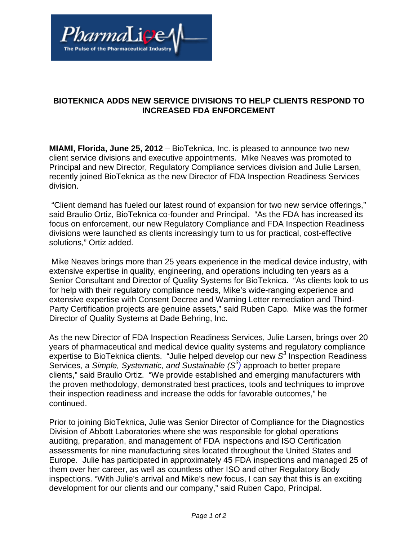

## **BIOTEKNICA ADDS NEW SERVICE DIVISIONS TO HELP CLIENTS RESPOND TO INCREASED FDA ENFORCEMENT**

**MIAMI, Florida, June 25, 2012** – BioTeknica, Inc. is pleased to announce two new client service divisions and executive appointments. Mike Neaves was promoted to Principal and new Director, Regulatory Compliance services division and Julie Larsen, recently joined BioTeknica as the new Director of FDA Inspection Readiness Services division.

 "Client demand has fueled our latest round of expansion for two new service offerings," said Braulio Ortiz, BioTeknica co-founder and Principal. "As the FDA has increased its focus on enforcement, our new Regulatory Compliance and FDA Inspection Readiness divisions were launched as clients increasingly turn to us for practical, cost-effective solutions," Ortiz added.

 Mike Neaves brings more than 25 years experience in the medical device industry, with extensive expertise in quality, engineering, and operations including ten years as a Senior Consultant and Director of Quality Systems for BioTeknica. "As clients look to us for help with their regulatory compliance needs, Mike's wide-ranging experience and extensive expertise with Consent Decree and Warning Letter remediation and Third-Party Certification projects are genuine assets," said Ruben Capo. Mike was the former Director of Quality Systems at Dade Behring, Inc.

As the new Director of FDA Inspection Readiness Services, Julie Larsen, brings over 20 years of pharmaceutical and medical device quality systems and regulatory compliance expertise to BioTeknica clients. "Julie helped develop our new  $S<sup>3</sup>$  Inspection Readiness Services, a Simple, Systematic, and Sustainable  $(S^3)$  approach to better prepare clients," said Braulio Ortiz. "We provide established and emerging manufacturers with the proven methodology, demonstrated best practices, tools and techniques to improve their inspection readiness and increase the odds for favorable outcomes," he continued.

Prior to joining BioTeknica, Julie was Senior Director of Compliance for the Diagnostics Division of Abbott Laboratories where she was responsible for global operations auditing, preparation, and management of FDA inspections and ISO Certification assessments for nine manufacturing sites located throughout the United States and Europe. Julie has participated in approximately 45 FDA inspections and managed 25 of them over her career, as well as countless other ISO and other Regulatory Body inspections. "With Julie's arrival and Mike's new focus, I can say that this is an exciting development for our clients and our company," said Ruben Capo, Principal.